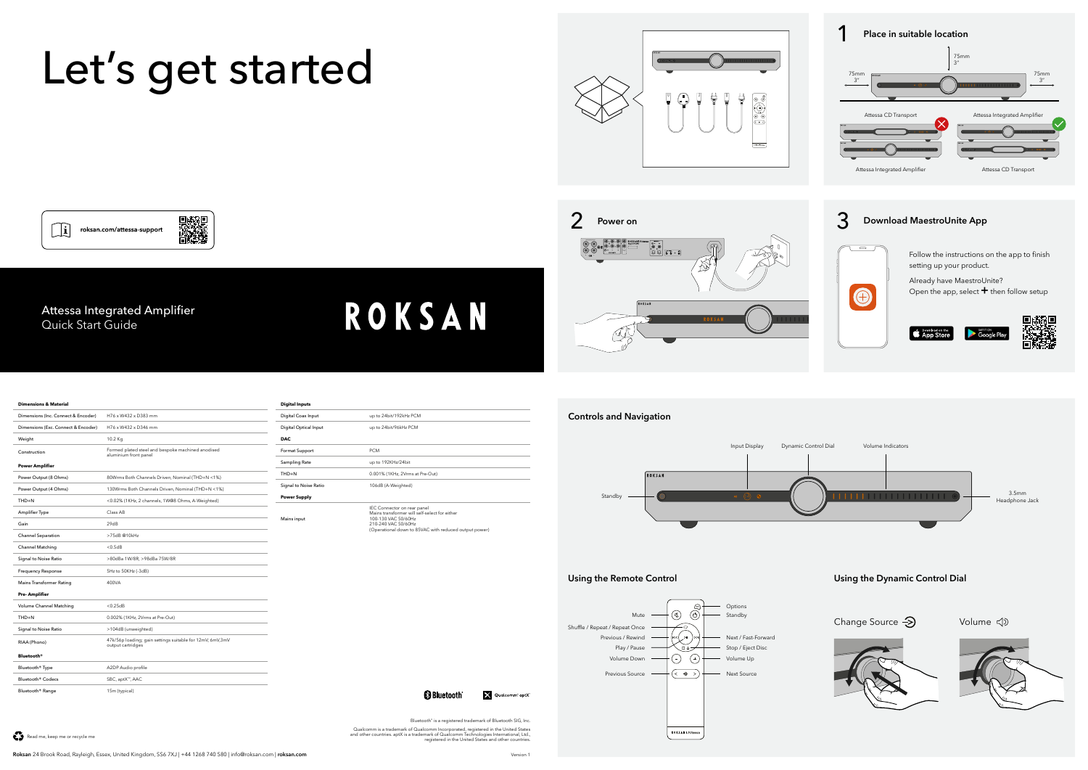Qualcomm is a trademark of Qualcomm Incorporated, registered in the United States and other countries. aptX is a trademark of Qualcomm Technologies International, Ltd., registered in the United States and other countries.

**B** Bluetooth

| <b>Dimensions &amp; Material</b>    |                                                                                 |
|-------------------------------------|---------------------------------------------------------------------------------|
| Dimensions (Inc. Connect & Encoder) | H76 x W432 x D383 mm                                                            |
| Dimensions (Exc. Connect & Encoder) | H76 x W432 x D346 mm                                                            |
| Weight                              | 10.2 Kg                                                                         |
| Construction                        | Formed plated steel and bespoke machined anodised<br>aluminium front panel      |
| <b>Power Amplifier</b>              |                                                                                 |
| Power Output (8 Ohms)               | 80Wrms Both Channels Driven, Nominal (THD+N <1%)                                |
| Power Output (4 Ohms)               | 130Wrms Both Channels Driven, Nominal (THD+N <1%)                               |
| THD+N                               | <0.02% (1KHz, 2 channels, 1W@8 Ohms, A-Weighted)                                |
| Amplifier Type                      | Class AB                                                                        |
| Gain                                | 29dB                                                                            |
| <b>Channel Separation</b>           | >75dB @10kHz                                                                    |
| <b>Channel Matching</b>             | < 0.5 dB                                                                        |
| Signal to Noise Ratio               | >80dBa 1W/8R, >98dBa 75W/8R                                                     |
| <b>Frequency Response</b>           | 5Hz to 50KHz (-3dB)                                                             |
| Mains Transformer Rating            | 400VA                                                                           |
| Pre-Amplifier                       |                                                                                 |
| Volume Channel Matching             | < 0.25 dB                                                                       |
| $THD+N$                             | 0.002% (1KHz, 2Vrms at Pre-Out)                                                 |
| Signal to Noise Ratio               | >104dB (unweighted)                                                             |
| RIAA (Phono)                        | 47k/56p loading; gain settings suitable for 12mV, 6mV, 3mV<br>output cartridges |
| <b>Bluetooth®</b>                   |                                                                                 |
| Bluetooth <sup>®</sup> Type         | A2DP Audio profile                                                              |
| Bluetooth <sup>®</sup> Codecs       | SBC, aptX™, AAC                                                                 |
| Bluetooth <sup>®</sup> Range        | 15m (typical)                                                                   |

| Digital Coax Input    | up to 24bit/192kHz PCM                                                                                                                                                              |
|-----------------------|-------------------------------------------------------------------------------------------------------------------------------------------------------------------------------------|
| Digital Optical Input | up to 24bit/96kHz PCM                                                                                                                                                               |
| <b>DAC</b>            |                                                                                                                                                                                     |
| Format Support        | <b>PCM</b>                                                                                                                                                                          |
| Sampling Rate         | up to 192KHz/24bit                                                                                                                                                                  |
| THD+N                 | 0.001% (1KHz, 2Vrms at Pre-Out)                                                                                                                                                     |
| Signal to Noise Ratio | 106dB (A-Weighted)                                                                                                                                                                  |
| <b>Power Supply</b>   |                                                                                                                                                                                     |
| Mains input           | IEC Connector on rear panel<br>Mains transformer will self-select for either<br>100-130 VAC 50/60Hz<br>210-240 VAC 50/60Hz<br>(Operational down to 85VAC with reduced output power) |

**ROKSAN** 

# Let's get started

D. 1999年<br>回復連想



Attessa Integrated Amplifier

roksan.com/attessa-support

Quick Start Guide

 $\begin{bmatrix} 1 \\ 0 \end{bmatrix}$ 





## **Controls and Navigation**





# **Using the Remote Control Using the Dynamic Control Dial**

Change Source  $\bigotimes$  Volume  $\triangleleft$ 



V Qualcomm' aptX

Bluetooth<sup>®</sup> is a registered trademark of Bluetooth SIG, Inc.